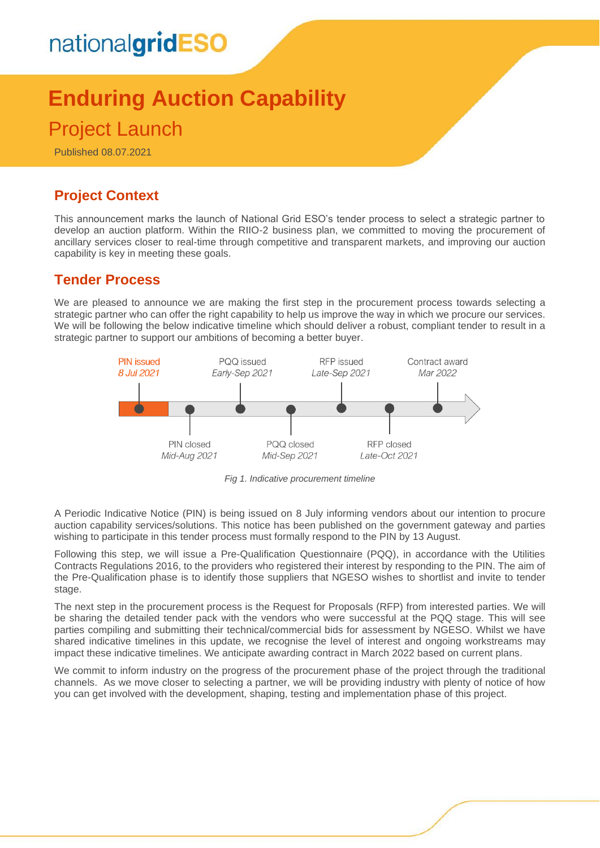# nationalgridESO

## **Enduring Auction Capability** Project Launch

#### Published 08.07.2021

## **Project Context**

This announcement marks the launch of National Grid ESO's tender process to select a strategic partner to develop an auction platform. Within the RIIO-2 business plan, we committed to moving the procurement of ancillary services closer to real-time through competitive and transparent markets, and improving our auction capability is key in meeting these goals.

#### **Tender Process**

We are pleased to announce we are making the first step in the procurement process towards selecting a strategic partner who can offer the right capability to help us improve the way in which we procure our services. We will be following the below indicative timeline which should deliver a robust, compliant tender to result in a strategic partner to support our ambitions of becoming a better buyer.



*Fig 1. Indicative procurement timeline*

A Periodic Indicative Notice (PIN) is being issued on 8 July informing vendors about our intention to procure auction capability services/solutions. This notice has been published on the government gateway and parties wishing to participate in this tender process must formally respond to the PIN by 13 August.

Following this step, we will issue a Pre-Qualification Questionnaire (PQQ), in accordance with the Utilities Contracts Regulations 2016, to the providers who registered their interest by responding to the PIN. The aim of the Pre-Qualification phase is to identify those suppliers that NGESO wishes to shortlist and invite to tender stage.

The next step in the procurement process is the Request for Proposals (RFP) from interested parties. We will be sharing the detailed tender pack with the vendors who were successful at the PQQ stage. This will see parties compiling and submitting their technical/commercial bids for assessment by NGESO. Whilst we have shared indicative timelines in this update, we recognise the level of interest and ongoing workstreams may impact these indicative timelines. We anticipate awarding contract in March 2022 based on current plans.

We commit to inform industry on the progress of the procurement phase of the project through the traditional channels. As we move closer to selecting a partner, we will be providing industry with plenty of notice of how you can get involved with the development, shaping, testing and implementation phase of this project.